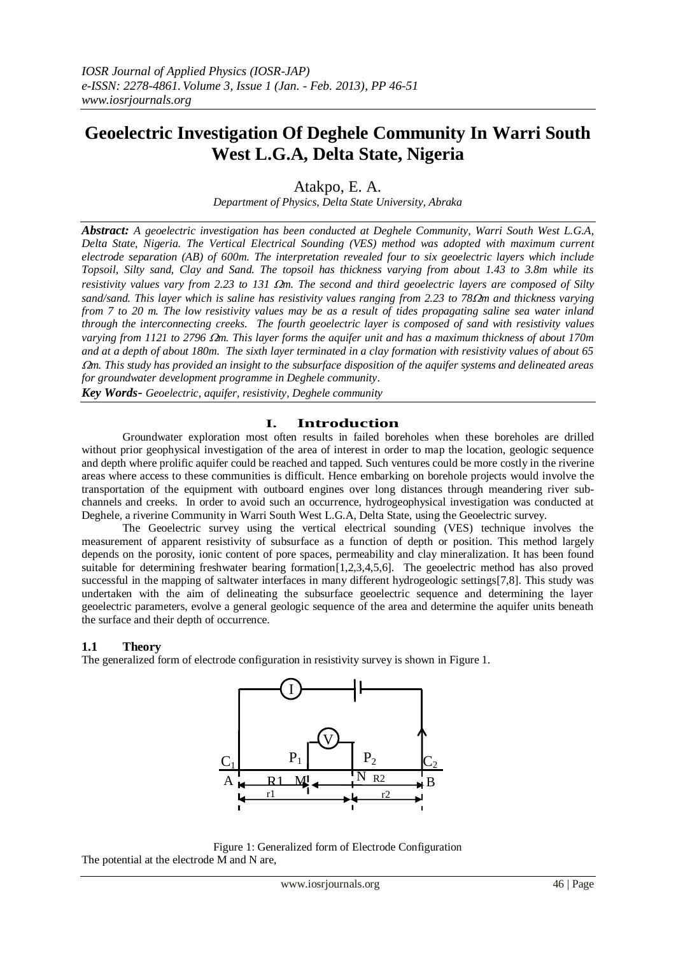# **Geoelectric Investigation Of Deghele Community In Warri South West L.G.A, Delta State, Nigeria**

Atakpo, E. A.

*Department of Physics, Delta State University, Abraka*

*Abstract: A geoelectric investigation has been conducted at Deghele Community, Warri South West L.G.A, Delta State, Nigeria. The Vertical Electrical Sounding (VES) method was adopted with maximum current electrode separation (AB) of 600m. The interpretation revealed four to six geoelectric layers which include Topsoil, Silty sand, Clay and Sand. The topsoil has thickness varying from about 1.43 to 3.8m while its resistivity values vary from 2.23 to 131*  $\Omega$ *m. The second and third geoelectric layers are composed of Silty sand/sand. This layer which is saline has resistivity values ranging from 2.23 to 78m and thickness varying from 7 to 20 m. The low resistivity values may be as a result of tides propagating saline sea water inland through the interconnecting creeks. The fourth geoelectric layer is composed of sand with resistivity values varying from 1121 to 2796 m. This layer forms the aquifer unit and has a maximum thickness of about 170m and at a depth of about 180m. The sixth layer terminated in a clay formation with resistivity values of about 65 m. This study has provided an insight to the subsurface disposition of the aquifer systems and delineated areas for groundwater development programme in Deghele community.*

*Key Words- Geoelectric, aquifer, resistivity, Deghele community*

## **I. Introduction**

Groundwater exploration most often results in failed boreholes when these boreholes are drilled without prior geophysical investigation of the area of interest in order to map the location, geologic sequence and depth where prolific aquifer could be reached and tapped. Such ventures could be more costly in the riverine areas where access to these communities is difficult. Hence embarking on borehole projects would involve the transportation of the equipment with outboard engines over long distances through meandering river subchannels and creeks. In order to avoid such an occurrence, hydrogeophysical investigation was conducted at Deghele, a riverine Community in Warri South West L.G.A, Delta State, using the Geoelectric survey.

 The Geoelectric survey using the vertical electrical sounding (VES) technique involves the measurement of apparent resistivity of subsurface as a function of depth or position. This method largely depends on the porosity, ionic content of pore spaces, permeability and clay mineralization. It has been found suitable for determining freshwater bearing formation[1,2,3,4,5,6]. The geoelectric method has also proved successful in the mapping of saltwater interfaces in many different hydrogeologic settings[7,8]. This study was undertaken with the aim of delineating the subsurface geoelectric sequence and determining the layer geoelectric parameters, evolve a general geologic sequence of the area and determine the aquifer units beneath the surface and their depth of occurrence.

## **1.1 Theory**

The generalized form of electrode configuration in resistivity survey is shown in Figure 1.



Figure 1: Generalized form of Electrode Configuration The potential at the electrode M and N are,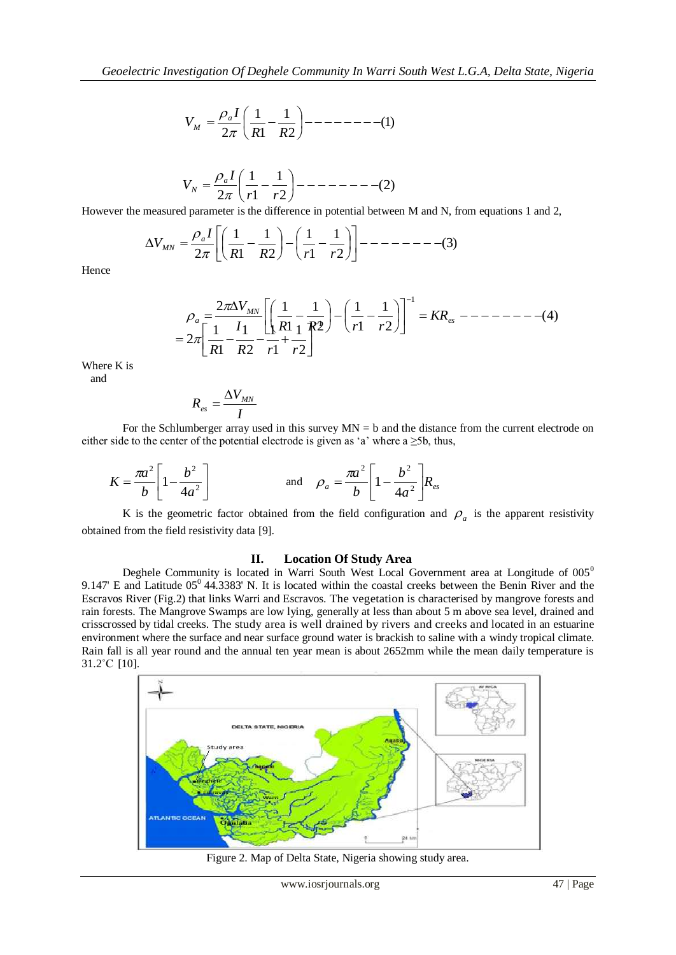(1) 2 1 1 1 2 *R R I V a M* 

$$
V_N = \frac{\rho_a I}{2\pi} \left( \frac{1}{r1} - \frac{1}{r2} \right) - \dots - \dots - \dots - \dots - \dots - \dots (2)
$$

However the measured parameter is the difference in potential between M and N, from equations 1 and 2,

$$
\Delta V_{MN} = \frac{\rho_a I}{2\pi} \left[ \left( \frac{1}{R1} - \frac{1}{R2} \right) - \left( \frac{1}{r1} - \frac{1}{r2} \right) \right] - \dots - \dots - \dots - \dots - \tag{3}
$$

Hence

$$
\rho_a = \frac{2\pi \Delta V_{MN}}{R1 - R2} \left[ \left( \frac{1}{R1} - \frac{1}{R2} \right) - \left( \frac{1}{r1} - \frac{1}{r2} \right) \right]^{-1} = KR_{es} - \frac{1}{R1 - R2} = 2\pi \left[ \frac{1}{R1} - \frac{1}{R2} - \frac{1}{r1} + \frac{1}{r2} \right]
$$

Where K is and

$$
R_{\scriptscriptstyle es} = \frac{\Delta V_{\scriptscriptstyle M N}}{I}
$$

For the Schlumberger array used in this survey  $MN = b$  and the distance from the current electrode on either side to the center of the potential electrode is given as 'a' where a  $\geq 5b$ , thus,

$$
K = \frac{\pi a^2}{b} \left[ 1 - \frac{b^2}{4a^2} \right]
$$
 and  $\rho_a = \frac{\pi a^2}{b} \left[ 1 - \frac{b^2}{4a^2} \right] R_{es}$ 

K is the geometric factor obtained from the field configuration and  $\rho_a$  is the apparent resistivity obtained from the field resistivity data [9].

#### **II. Location Of Study Area**

Deghele Community is located in Warri South West Local Government area at Longitude of  $005<sup>0</sup>$ 9.147' E and Latitude  $05^{\circ}$  44.3383' N. It is located within the coastal creeks between the Benin River and the Escravos River (Fig.2) that links Warri and Escravos. The vegetation is characterised by mangrove forests and rain forests. The Mangrove Swamps are low lying, generally at less than about 5 m above sea level, drained and crisscrossed by tidal creeks. The study area is well drained by rivers and creeks and located in an estuarine environment where the surface and near surface ground water is brackish to saline with a windy tropical climate. Rain fall is all year round and the annual ten year mean is about 2652mm while the mean daily temperature is 31.2˚C [10].



Figure 2. Map of Delta State, Nigeria showing study area.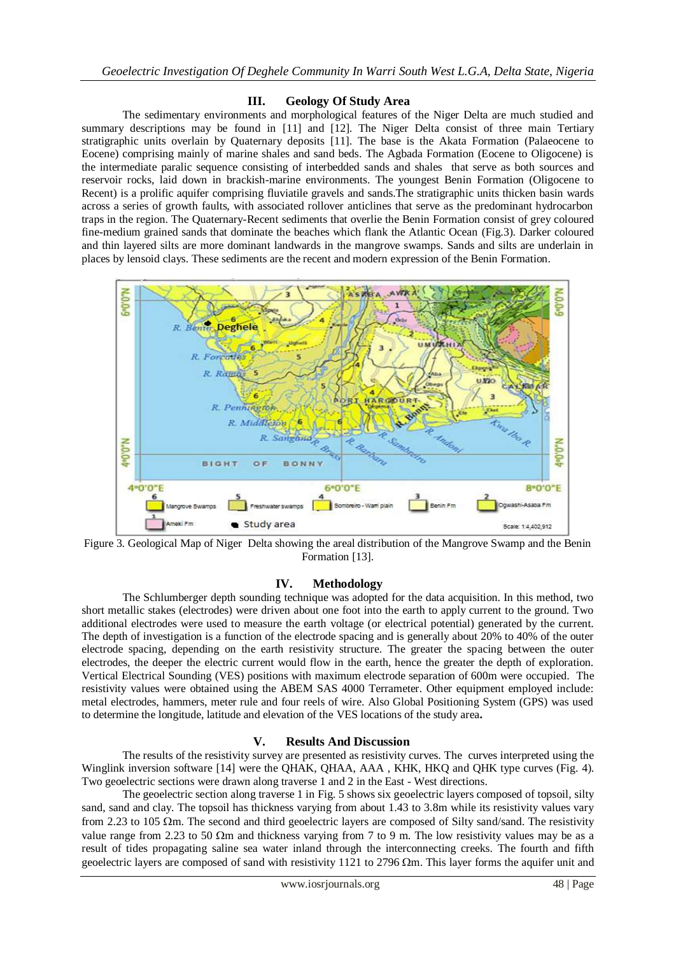### **III. Geology Of Study Area**

The sedimentary environments and morphological features of the Niger Delta are much studied and summary descriptions may be found in [11] and [12]. The Niger Delta consist of three main Tertiary stratigraphic units overlain by Quaternary deposits [11]. The base is the Akata Formation (Palaeocene to Eocene) comprising mainly of marine shales and sand beds. The Agbada Formation (Eocene to Oligocene) is the intermediate paralic sequence consisting of interbedded sands and shales that serve as both sources and reservoir rocks, laid down in brackish-marine environments. The youngest Benin Formation (Oligocene to Recent) is a prolific aquifer comprising fluviatile gravels and sands.The stratigraphic units thicken basin wards across a series of growth faults, with associated rollover anticlines that serve as the predominant hydrocarbon traps in the region. The Quaternary-Recent sediments that overlie the Benin Formation consist of grey coloured fine-medium grained sands that dominate the beaches which flank the Atlantic Ocean (Fig.3). Darker coloured and thin layered silts are more dominant landwards in the mangrove swamps. Sands and silts are underlain in places by lensoid clays. These sediments are the recent and modern expression of the Benin Formation.



Figure 3. Geological Map of Niger Delta showing the areal distribution of the Mangrove Swamp and the Benin Formation [13].

#### **IV. Methodology**

The Schlumberger depth sounding technique was adopted for the data acquisition. In this method, two short metallic stakes (electrodes) were driven about one foot into the earth to apply current to the ground. Two additional electrodes were used to measure the earth voltage (or electrical potential) generated by the current. The depth of investigation is a function of the electrode spacing and is generally about 20% to 40% of the outer electrode spacing, depending on the earth resistivity structure. The greater the spacing between the outer electrodes, the deeper the electric current would flow in the earth, hence the greater the depth of exploration. Vertical Electrical Sounding (VES) positions with maximum electrode separation of 600m were occupied. The resistivity values were obtained using the ABEM SAS 4000 Terrameter. Other equipment employed include: metal electrodes, hammers, meter rule and four reels of wire. Also Global Positioning System (GPS) was used to determine the longitude, latitude and elevation of the VES locations of the study area**.** 

#### **V. Results And Discussion**

The results of the resistivity survey are presented as resistivity curves. The curves interpreted using the Winglink inversion software [14] were the QHAK, QHAA, AAA , KHK, HKQ and QHK type curves (Fig. 4). Two geoelectric sections were drawn along traverse 1 and 2 in the East - West directions.

The geoelectric section along traverse 1 in Fig. 5 shows six geoelectric layers composed of topsoil, silty sand, sand and clay. The topsoil has thickness varying from about 1.43 to 3.8m while its resistivity values vary from 2.23 to 105  $\Omega$ m. The second and third geoelectric layers are composed of Silty sand/sand. The resistivity value range from 2.23 to 50  $\Omega$ m and thickness varying from 7 to 9 m. The low resistivity values may be as a result of tides propagating saline sea water inland through the interconnecting creeks. The fourth and fifth geoelectric layers are composed of sand with resistivity 1121 to 2796  $\Omega$ m. This layer forms the aquifer unit and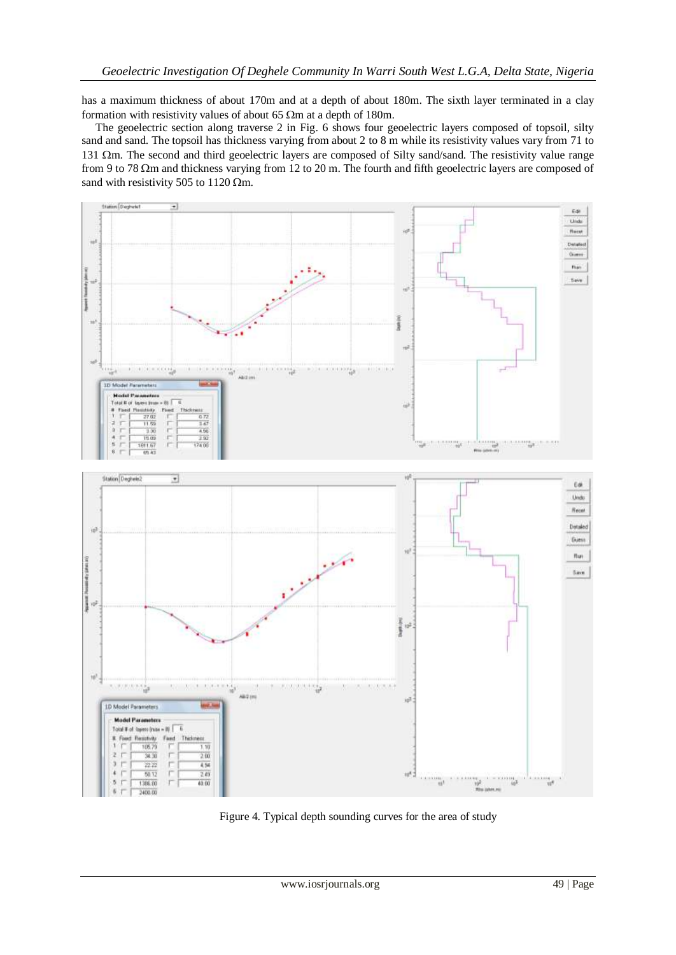has a maximum thickness of about 170m and at a depth of about 180m. The sixth layer terminated in a clay formation with resistivity values of about 65  $\Omega$ m at a depth of 180m.

 The geoelectric section along traverse 2 in Fig. 6 shows four geoelectric layers composed of topsoil, silty sand and sand. The topsoil has thickness varying from about 2 to 8 m while its resistivity values vary from 71 to 131  $\Omega$ m. The second and third geoelectric layers are composed of Silty sand/sand. The resistivity value range from 9 to 78  $\Omega$ m and thickness varying from 12 to 20 m. The fourth and fifth geoelectric layers are composed of sand with resistivity 505 to 1120  $\Omega$ m.



Figure 4. Typical depth sounding curves for the area of study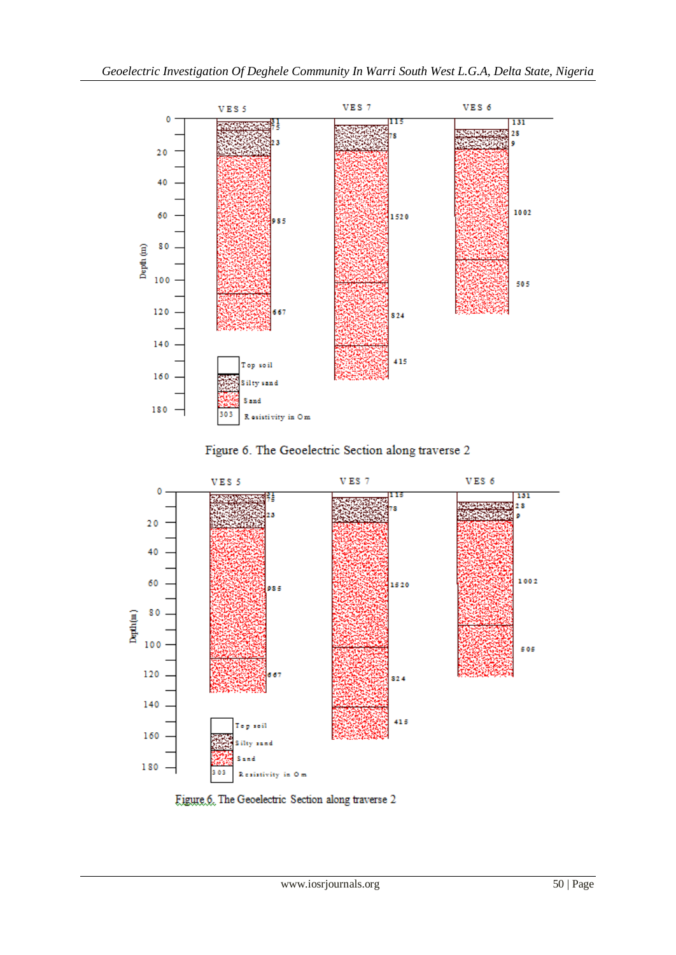





Figure 6. The Geoelectric Section along traverse 2